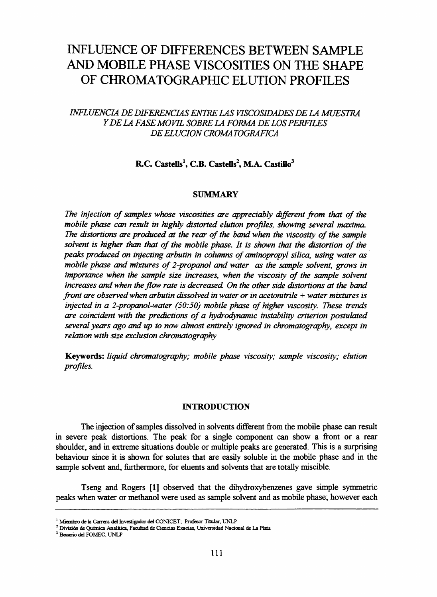# **INFLUENCE OF DIFFERENCES BETWEEN SAMPLE** AND MOBILE PHASE VISCOSITIES ON THE SHAPE OF CHROMATOGRAPHIC ELUTION PROFILES

# *INFLUENCIA DE DIFERENCIAS ENTRE LAS VISCOSIDADES DE LA MUESTRA Y D E LA FASE MOVIL SOBRELA FORMA DE LOS PERFILES DE ELUCION CROMA TOGRAFICA*

# R.C. Castells<sup>1</sup>, C.B. Castells<sup>2</sup>, M.A. Castillo<sup>3</sup>

# **SUMMARY**

The injection of samples whose viscosities are appreciably different from that of the *m otile phase can result in highly distorted elution profiles*, *showing severai maxima.* The distortions are produced at the rear of the band when the viscosity of the sample solvent is higher than that of the mobile phase. It is shown that the distortion of the peaks produced on injecting arbutin in columns of aminopropyl silica, using water as *mobile phase and mixtures of 2-propanol and water as the sample solvent, grows in importance when the sample size increases, when the viscosity of the sample solvent increases and when the flow rate is decreased On the other side distortions at the band front are observed when arbutin dissolved in water or in acetonitrile* + *water mixtures is injected in a 2-propanol-water (50:50) mobile phase of higher viscosity. These trends are coincident with the predictions of a hydrodynamic instability criterion postulated several years ago and up to now almost entirely ignored in chromatography, except in relation with size exclusión chromatography*

Keywords: *liquid chromatography; mobile phase viscosity; sample viscosity; elution profiles.*

#### **INTRODUCTION**

The injection of samples dissolved in solvents different from the mobile phase can result in severe peak distortions. The peak for a single component can show a front or a rear shoulder, and in extreme situations double or multiple peaks are generated. This is a surprising behaviour since it is shown for solutes that are easily soluble in the mobile phase and in the sample solvent and, furthermore, for eluents and solvents that are totally miscible.

Tseng and Rogers [1] observed that the dihydroxybenzenes gave simple symmetric peaks when water or methanol were used as sample solvent and as mobile phase; however each

<sup>&</sup>lt;sup>1</sup> Miembro de la Carrera del Investigador del CONICET; Profesor Titular, UNLP

*<sup>2</sup>* División de Química Analítica, Facultad de Ciencias Exactas, Universidad Nacional de La Plata

<sup>3</sup> Becario del FOMEC, UNLP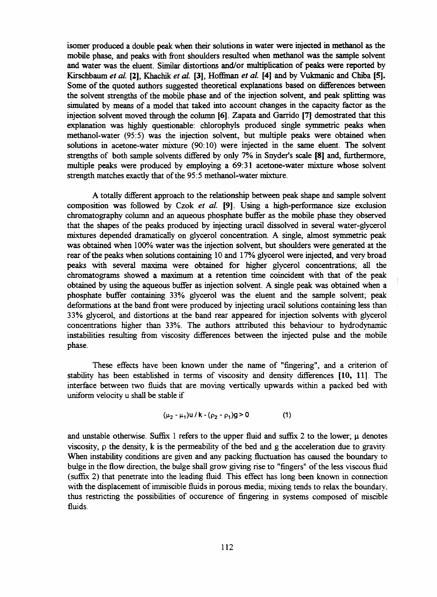isomer produced a double peak when their Solutions in water were injected in methanol as the mobile phase, and peaks with front shoulders resulted when methanol was the sample solvent and water was the eluent. Similar distortions and/or multiplication of peaks were reported by Kirschbaum *et al.* [2], Khachik *et al.* [3], Hoffman *et al.* [4] and by Vukmanic and Chiba [5]. Some of the quoted authors suggested theoretical explanations based on differences between the solvent strengths of the mobile phase and of the injection solvent, and peak splitting was simulated by means of a model that taked into account changes in the capacity factor as the injection solvent moved through the column [6]. Zapata and Garrido [7] demostrated that this explanation was highly questionable: chlorophyls produced single symmetric peaks when methanol-water (95:5) was the injection solvent, but multiple peaks were obtained when solutions in acetone-water mixture (90:10) were injected in the same eluent. The solvent strengths of both sample solvents differed by only 7% in Snyder's scale [8] and, fiuthermore, multiple peaks were produced by employing a 69:31 acetone-water mixture whose solvent strength matches exactly that of the 95:5 methanol-water mixture.

A totally different approach to the relationship between peak shape and sample solvent composition was followed by Czok *et al.* **[9].** Using a high-performance size exclusión chromatography column and an aqueous phosphate buffer as the mobile phase they observed that the shapes of the peaks produced by injecting uracil dissolved in several water-glycerol mixtures depended dramatically on glycerol concentration. A single, almost symmetric peak was obtained when 100% water was the injection solvent, but shoulders were generated at the rear of the peaks when Solutions containing 10 and 17% glycerol were injected, and very broad peaks with several maxima were obtained for higher glycerol concentrations; all the chromatograms showed a maximum at a retention time coincident with that of the peak obtained by using the aqueous buffer as injection solvent. A single peak was obtained when a phosphate buffer containing 33% glycerol was the eluent and the sample solvent; peak deformations at the band front were produced by injecting uracil solutions containing less than 33% glycerol, and distortions at the band rear appeared for injection solvents with glycerol concentrations higher than 33%. The authors attributed this behaviour to hydrodynamic instabilities resulting from viscosity differences between the injected pulse and the mobile phase.

These effects have been known under the name of "fingering", and a criterion of stability has been established in terms of viscosity and density differences [10, 11]. The interface between two fluids that are moving vertically upwards within a packed bed with uniform velocity u shall be stable if

$$
(\mu_2 - \mu_1) u / k - (\rho_2 - \rho_1) g > 0 \tag{1}
$$

and unstable otherwise. Suffix 1 refers to the upper fluid and suffix 2 to the lower;  $\mu$  denotes viscosity,  $\rho$  the density, k is the permeability of the bed and g the acceleration due to gravity. When instability conditions are given and any packing fluctuation has caused the boundary to bulge in the flow direction, the bulge shall grow giving rise to "fingers" of the less viscous fluid (suffix 2) that penétrate into the leading fluid. This efifect has long been known in connection with the displacement of immiscible fluids in porous media; mixing tends to relax the boundary, thus restricting the possibilities of occurence of fingering in systems composed of miscible fluids.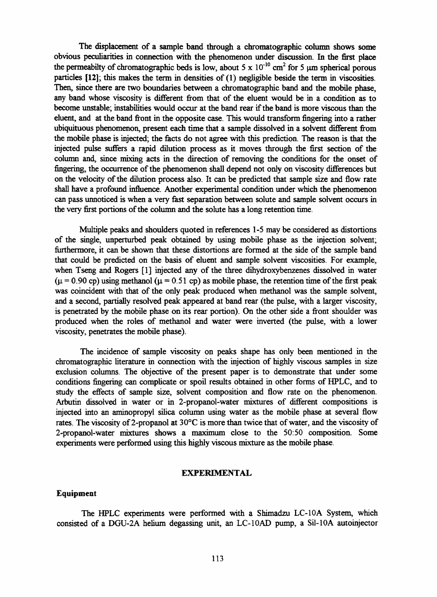The displacement of a sample band through a chromatographic column shows some obvious peculiarities in connectíon with the phenomenon under discussion. In the first place the permeabilty of chromatographic beds is low, about 5 x  $10^{-10}$  cm<sup>2</sup> for 5  $\mu$ m spherical porous particles [12]; this makes the term in densities of (1) negligible beside the term in viscosities. Then, since there are two boundaries between a chromatographic band and the mobile phase, any band whose viscosity is different from that of the eluent would be in a condition as to become unstable; instabilities would occur at the band rear if the band is more viscous than the eluent, and at the band front in the opposite case. This would transform fingering into a rather ubiquituous phenomenon, present each time that a sample dissolved in a solvent different from the mobile phase is injected; the facts do not agree with this prediction. The reason is that the injected pulse suffers a rapid dilution process as it moves through the first section of the column and, since mixing acts in the direction of removing the conditions for the onset of fingering, the occurrence of the phenomenon shall depend not only on viscosity differences but on the velocity of the dilution process also. It can be predicted that sample size and flow rate shall have a profound influence. Another experimental condition under which the phenomenon can pass unnoticed is when a very fast separation between solute and sample solvent occurs in the very first portions of the column and the solute has a long retention time.

Múltiple peaks and shoulders quoted in references 1-5 may be considered as distortions of the single, unperturbed peak obtained by using mobile phase as the injection solvent; fiirthermore, it can be shown that these distortions are formed at the side of the sample band that could be predicted on the basis of eluent and sample solvent viscosities. For example, when Tseng and Rogers [1] injected any of the three dihydroxybenzenes dissolved in water  $(\mu = 0.90 \text{ cp})$  using methanol  $(\mu = 0.51 \text{ cp})$  as mobile phase, the retention time of the first peak was coincident with that of the only peak produced when methanol was the sample solvent, and a second, partially resolved peak appeared at band rear (the pulse, with a larger viscosity, is penetrated by the mobile phase on its rear portion). On the other side a front shoulder was produced when the roles of methanol and water were inverted (the pulse, with a lower viscosity, penetrates the mobile phase).

The incidence of sample viscosity on peaks shape has only been mentioned in the chromatographic literature in connection with the injection of highly viscous samples in size exclusion columns. The objective of the present paper is to demonstrate that under some conditions fingering can complicate or spoil results obtained in other forms of HPLC, and to study the effects of sample size, solvent composition and flow rate on the phenomenon. Arbutin dissolved in water or in 2-propanol-water mixtures of different compositions is injected into an aminopropyl silica column using water as the mobile phase at several flow rates. The viscosity of 2-propanol at 30°C is more than twice that of water, and the viscosity of 2-propanol-water mixtures shows a maximum close to the 50:50 composition. Some experiments were performed using this highly viscous mixture as the mobile phase.

## **EXPERIMENTAL**

## Equipment

The HPLC experiments were performed with a Shimadzu LC-10A System, which consisted of a DGU-2A helium degassing unit, an LC-10AD pump, a Sil-lOA autoinjector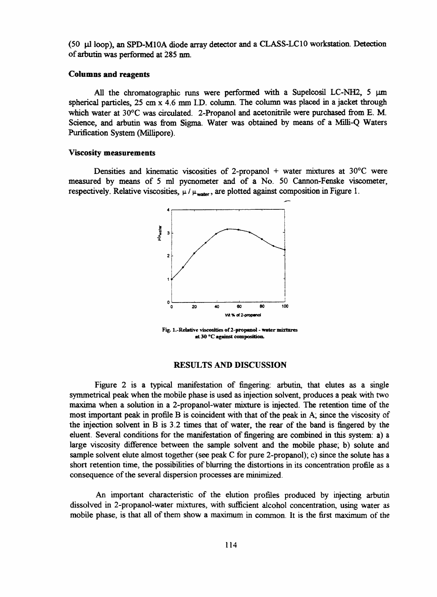(50 jal loop), an SPD-M10A diode array detector and a CLASS-LC10 workstation. Detection of arbutin was performed at 285 nm.

#### Columns and reagents

All the chromatographic runs were performed with a Supelcosil LC-NH2,  $5 \mu m$ spherical particles, 25 cm x 4.6 mm I.D. column. The column was placed in a jacket through which water at 30°C was circulated. 2-Propanol and acetonitrile were purchased from E. M. Science, and arbutin was from Sigma. Water was obtained by means of a Milli-Q Waters Purification System (Millipore).

#### Viscosity measurements

Densities and kinematic viscosities of 2-propanol + water mixtures at  $30^{\circ}$ C were measured by means of 5 mi pycnometer and of a No. 50 Cannon-Fenske viscometer, respectively. Relative viscosities,  $\mu / \mu_{\text{water}}$ , are plotted against composition in Figure 1.



Fig. 1.-Relative viscosities of 2-propanol - water mixtures **at30 °C against composition.**

#### RESULTS AND DISCUSSION

Figure 2 is a typical manifestation of fingering: arbutin, that elutes as a single symmetrical peak when the mobile phase is used as injection solvent, produces a peak with two maxima when a solution in a 2-propanol-water mixture is injected. The retention time of the most important peak in profile B is coincident with that of the peak in A; since the viscosity of the injection solvent in B is 3.2 times that of water, the rear of the band is fingered by the eluent. Several conditions for the manifestation of fingering are combined in this system: a) a large viscosity difference between the sample solvent and the mobile phase; b) solute and sample solvent elute almost together (see peak C for pure 2-propanol); c) since the solute has a short retention time, the possibilities of blurring the distortions in its concentration profile as a consequence of the several dispersión processes are minimized.

An important characteristic of the elution profiles produced by injecting arbutin dissolved in 2-propanol-water mixtures, with sufficient alcohol concentration, using water as mobile phase, is that all of them show a maximum in common. It is the first maximum of the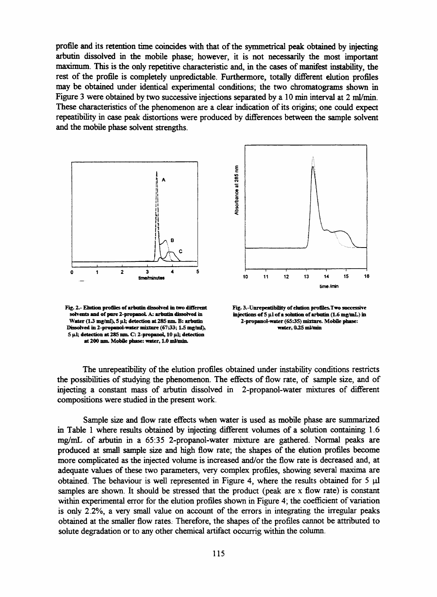profile and its retention time coincides with that of the symmetrical peak obtained by injecting arbutin dissolved in the mobile phase; however, it is not necessarily the most important maximum. This is the only repetitive characteristic and, in the cases of manifest instability, the rest of the profile is completely unpredictable. Furthermore, totally different elution profiles may be obtained under identical experimental conditions; the two chromatograms shown in Figure 3 were obtained by two successive injections separated by a 10 min interval at 2 ml/min. These characteristics of the phenomenon are a clear indication of its origins; one could expect repeatibility in case peak distortions were produced by differences between the sample solvent and the mobile phase solvent strengths.



**Fig. 2.- Elution profiles of arbutin dissolved in two different** solvents and of pure 2-propanol. A: arbutin dissolved in **Water ( 1 3 mg/ml), 5 (il; detection at285 nm. B: arbatin Dissolved in 2-propanot-water mixture (6733; 1 3 mg/ml), 5 fil; detection at 285 nm C: 2-propanoL, 10 |il; detection at 200 nm. Mobile pbase: water, 1.0 ml/min.**



Fig. 3.-Unrepeatibility of elution profiles.Two successive injections of 5 µl of a solution of arbutin (1.6 mg/mL) in 2-propanol-water (65:35) mixture. Mobile phase: **water, 035 ml/min**

The unrepeatibility of the elution profiles obtained under instability conditions restricts the possibilities of studying the phenomenon. The effects of flow rate, of sample size, and of injecting a constant mass of arbutin dissolved in 2-propanol-water mixtures of different compositions were studied in the present work.

Sample size and flow rate effects when water is used as mobile phase are summarized in Table 1 where results obtained by injecting different volumes of a solution containing 1.6 mg/mL of arbutin in a 65:35 2-propanol-water mixture are gathered. Normal peaks are produced at small sample size and high flow rate; the shapes of the elution profiles become more complicated as the injected volume is increased and/or the flow rate is decreased and, at adequate values of these two parameters, very complex profiles, showing several maxima are obtained. The behaviour is well represented in Figure 4, where the results obtained for  $5 \mu$ samples are shown. It should be stressed that the product (peak are x flow rate) is constant within experimental error for the elution profiles shown in Figure 4; the coefficient of variation is only 2.2%, a very small valué on account of the errors in integrating the irregular peaks obtained at the smaller flow rates. Therefore, the shapes of the profiles cannot be attributed to solute degradation or to any other chemical artifact occurrig within the column.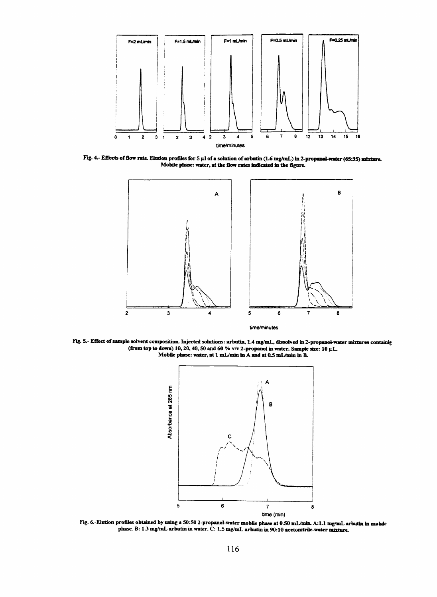

Fig. 4.- Effects of flow rate. Elution profiles for 5 µl of a solution of arbutin (1.6 mg/mL) in 2-propanol-water (65:35) mixture. Mobile phase: water, at the flow rates indicated in the figure.



**Eig. 5.' Eflect of sample solvent composition. Injected Solutions: arbutin, 1.4 mg/mL, dissolved in 2-propanol-water mixtures containig (from top to down) 10,20,40, §0 and 60 % v/v 2-propanol in water. Sampie size: 10 p.L** Mobile phase: water, at 1 mL/min in A and at 0.5 mL/min in B.



Fig. 6.-Elution profiles obtained by using a 50:50 2-propanol-water mobile phase at 0.50 mL/min. A:1.1 mg/mL arbutin in mobile **phase. B: 13 mg/mL arbutin in water. O: 1 3 mg/mL arbutin in 90:10 acetonitrile-water mixture.**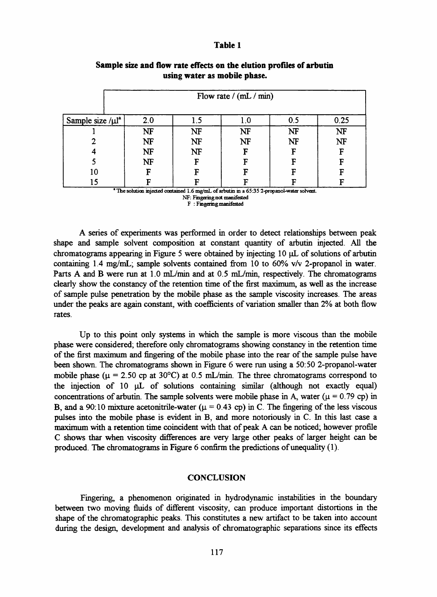#### Table 1

|                                 | Flow rate $/(mL/min)$ |           |           |           |      |
|---------------------------------|-----------------------|-----------|-----------|-----------|------|
| Sample size $/\mu$ <sup>1</sup> | 2.0                   | 1.5       | 1.0       | 0.5       | 0.25 |
|                                 | NF                    | <b>NF</b> | <b>NF</b> | NF        | NF   |
|                                 | NF                    | NF        | <b>NF</b> | <b>NF</b> | NF   |
|                                 | NF                    | NF        | F         | F         | F    |
|                                 | NF                    | E         | F         | F         | F    |
| 10                              | F                     | Г         | G         | F         | F    |
|                                 |                       |           |           |           |      |

# Sample size and flow rate effects on the elution profiles of arbutin using water as mobile phase.

<sup>2</sup> The solution injected contained 1.6 mg/mL of arbutin in a 65:35 2-propanol-water solvent. NF: Fingering not manifested

F : Fingering manifested

A series of experiments was performed in order to detect relationships between peak shape and sample solvent composition at constant quantity of arbutin injected. All the chromatograms appearing in Figure 5 were obtained by injecting 10 pL of Solutions of arbutin containing 1.4 mg/mL; sample solvents contained from 10 to 60% v/v 2-propanol in water. Parts A and B were run at 1.0 mL/min and at 0.5 mL/min, respectively. The chromatograms clearly show the constancy of the retention time of the first maximum, as well as the increase of sample pulse penetration by the mobile phase as the sample viscosity increases. The areas under the peaks are again constant, with coefficients of variation smaller than 2% at both flow rates.

Up to this point only systems in which the sample is more viscous than the mobile phase were considered; therefore only chromatograms showing constancy in the retention time of the first máximum and fingering of the mobile phase into the rear of the sample pulse have been shown. The chromatograms shown in Figure 6 were run using a 50:50 2-propanol-water mobile phase ( $\mu$  = 2.50 cp at 30°C) at 0.5 mL/min. The three chromatograms correspond to the injection of 10  $\mu$ L of solutions containing similar (although not exactly equal) concentrations of arbutin. The sample solvents were mobile phase in A, water ( $\mu$  = 0.79 cp) in B, and a 90:10 mixture acetonitrile-water ( $\mu$  = 0.43 cp) in C. The fingering of the less viscous pulses into the mobile phase is evident in B, and more notoriously in C. In this last case a maximum with a retention time coincident with that of peak A can be noticed; however profile C shows thar when viscosity dififerences are very large other peaks of larger height can be produced. The chromatograms in Figure 6 confirm the predictions of unequality (1).

#### **CONCLUSION**

Fingering, a phenomenon originated in hydrodynamic instabilities in the boundary between two moving fluids of different viscosity, can produce important distortions in the shape of the chromatographic peaks. This constitutes a new artifact to be taken into account during the design, development and analysis of chromatographic separations since its effects